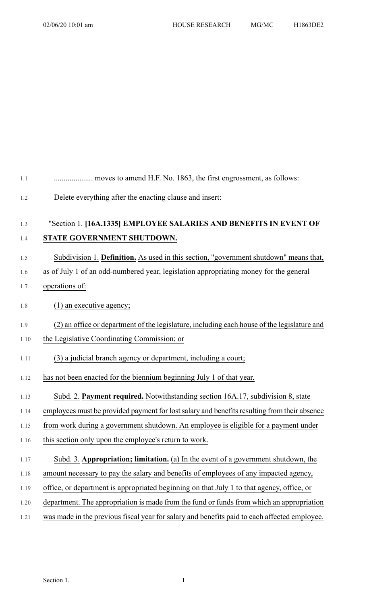| 1.1  |                                                                                              |
|------|----------------------------------------------------------------------------------------------|
| 1.2  | Delete everything after the enacting clause and insert:                                      |
| 1.3  | "Section 1. [16A.1335] EMPLOYEE SALARIES AND BENEFITS IN EVENT OF                            |
| 1.4  | STATE GOVERNMENT SHUTDOWN.                                                                   |
| 1.5  | Subdivision 1. Definition. As used in this section, "government shutdown" means that,        |
| 1.6  | as of July 1 of an odd-numbered year, legislation appropriating money for the general        |
| 1.7  | operations of:                                                                               |
| 1.8  | $(1)$ an executive agency;                                                                   |
| 1.9  | (2) an office or department of the legislature, including each house of the legislature and  |
| 1.10 | the Legislative Coordinating Commission; or                                                  |
| 1.11 | (3) a judicial branch agency or department, including a court;                               |
| 1.12 | has not been enacted for the biennium beginning July 1 of that year.                         |
| 1.13 | Subd. 2. Payment required. Notwithstanding section 16A.17, subdivision 8, state              |
| 1.14 | employees must be provided payment for lost salary and benefits resulting from their absence |
| 1.15 | from work during a government shutdown. An employee is eligible for a payment under          |
| 1.16 | this section only upon the employee's return to work.                                        |
| 1.17 | Subd. 3. Appropriation; limitation. (a) In the event of a government shutdown, the           |
| 1.18 | amount necessary to pay the salary and benefits of employees of any impacted agency,         |
| 1.19 | office, or department is appropriated beginning on that July 1 to that agency, office, or    |
| 1.20 | department. The appropriation is made from the fund or funds from which an appropriation     |
| 1.21 | was made in the previous fiscal year for salary and benefits paid to each affected employee. |